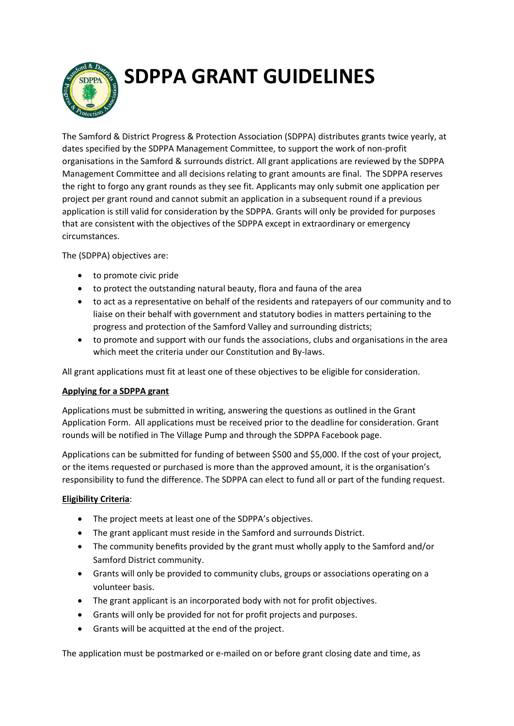**SDPPA GRANT GUIDELINES** 



The Samford & District Progress & Protection Association (SDPPA) distributes grants twice yearly, at dates specified by the SDPPA Management Committee, to support the work of non-profit organisations in the Samford & surrounds district. All grant applications are reviewed by the SDPPA Management Committee and all decisions relating to grant amounts are final. The SDPPA reserves the right to forgo any grant rounds as they see fit. Applicants may only submit one application per project per grant round and cannot submit an application in a subsequent round if a previous application is still valid for consideration by the SDPPA. Grants will only be provided for purposes that are consistent with the objectives of the SDPPA except in extraordinary or emergency circumstances.

The (SDPPA) objectives are:

- to promote civic pride
- to protect the outstanding natural beauty, flora and fauna of the area
- to act as a representative on behalf of the residents and ratepayers of our community and to liaise on their behalf with government and statutory bodies in matters pertaining to the progress and protection of the Samford Valley and surrounding districts;
- to promote and support with our funds the associations, clubs and organisations in the area which meet the criteria under our Constitution and By-laws.

All grant applications must fit at least one of these objectives to be eligible for consideration.

# **Applying for a SDPPA grant**

Applications must be submitted in writing, answering the questions as outlined in the Grant Application Form. All applications must be received prior to the deadline for consideration. Grant rounds will be notified in The Village Pump and through the SDPPA Facebook page.

Applications can be submitted for funding of between \$500 and \$5,000. If the cost of your project, or the items requested or purchased is more than the approved amount, it is the organisation's responsibility to fund the difference. The SDPPA can elect to fund all or part of the funding request.

### **Eligibility Criteria**:

- The project meets at least one of the SDPPA's objectives.
- The grant applicant must reside in the Samford and surrounds District.
- The community benefits provided by the grant must wholly apply to the Samford and/or Samford District community.
- Grants will only be provided to community clubs, groups or associations operating on a volunteer basis.
- The grant applicant is an incorporated body with not for profit objectives.
- Grants will only be provided for not for profit projects and purposes.
- Grants will be acquitted at the end of the project.

The application must be postmarked or e-mailed on or before grant closing date and time, as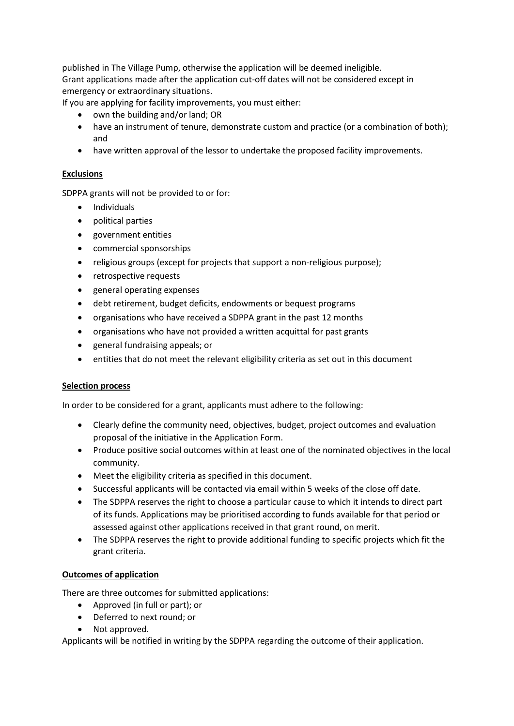published in The Village Pump, otherwise the application will be deemed ineligible. Grant applications made after the application cut-off dates will not be considered except in emergency or extraordinary situations.

If you are applying for facility improvements, you must either:

- own the building and/or land; OR
- have an instrument of tenure, demonstrate custom and practice (or a combination of both); and
- have written approval of the lessor to undertake the proposed facility improvements.

## **Exclusions**

SDPPA grants will not be provided to or for:

- Individuals
- political parties
- government entities
- commercial sponsorships
- religious groups (except for projects that support a non-religious purpose);
- retrospective requests
- general operating expenses
- debt retirement, budget deficits, endowments or bequest programs
- organisations who have received a SDPPA grant in the past 12 months
- organisations who have not provided a written acquittal for past grants
- general fundraising appeals; or
- entities that do not meet the relevant eligibility criteria as set out in this document

### **Selection process**

In order to be considered for a grant, applicants must adhere to the following:

- Clearly define the community need, objectives, budget, project outcomes and evaluation proposal of the initiative in the Application Form.
- Produce positive social outcomes within at least one of the nominated objectives in the local community.
- Meet the eligibility criteria as specified in this document.
- Successful applicants will be contacted via email within 5 weeks of the close off date.
- The SDPPA reserves the right to choose a particular cause to which it intends to direct part of its funds. Applications may be prioritised according to funds available for that period or assessed against other applications received in that grant round, on merit.
- The SDPPA reserves the right to provide additional funding to specific projects which fit the grant criteria.

### **Outcomes of application**

There are three outcomes for submitted applications:

- Approved (in full or part); or
- Deferred to next round; or
- Not approved.

Applicants will be notified in writing by the SDPPA regarding the outcome of their application.